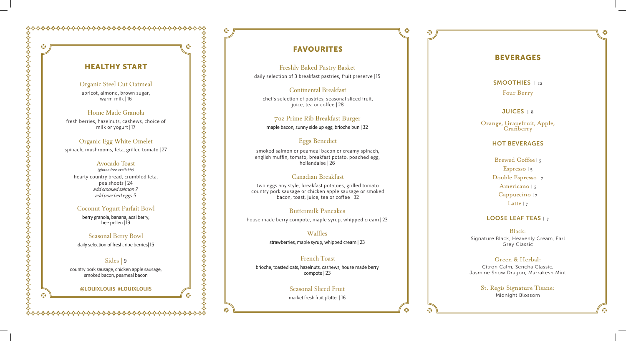# HEA LTHY S TART

⊗

ap ricot, almond, b rown sugar, warm milk | 16

#### Organic Steel Cut Oatmeal

### Home Made Granola

fr e s h ber rie s , hazelnut s , cashews, c hoice of milk o r yogur t | 17

### Organic Egg White Omelet

spinach, mushrooms, feta, grilled tomato | 27

#### Avocado Toast

(gluten free available) hearty country bread, crumbled feta, p e a s hoots | 2 4 add smoked salmon 7 add poached eggs 5

#### Coconut Yogurt Parfait Bowl

berry granola, banana, ac ai berry, bee pollen | 19

#### Seasonal Berry Bowl

s mok e d s almon or pe ameal bacon or creamy spinach, e n glish muffin , tomato, breakfast potato, po ached egg, hollandaise | 26

daily selection of fresh, ripe berries| 15

#### Sides | 9 country pork sausage, chicken apple s ausage, smoked bacon, peameal b acon

two eggs any style, breakfast potatoes, grilled tomato country por k s ausag e or chicken apple saus a g e or smoked b acon, toa st, juice, t e a or coffee | 32

#### **@LOUIXLOUIS #LOUIXLOUIS**

## FAVOURITES

<sup>⊗</sup>

<sup>⊗</sup>

#### Freshly Baked Pastry Basket

daily selection of 3 breakfast pastries, fruit preserve | 15

### Continental Breakfast

Orange, Grapefruit, Apple, **Cranberry** 

chef's selection of pastries, seasonal sliced fruit, juice, tea or coffee | 2 8

> Brewed Coffee | 5 Espresso | 5 Double Espresso | 7 Americano | 5 Cappuccino | 7 Latte  $|7|$

### LOOSE LEAF TEAS | 7

#### 7oz Prime Rib Breakfast Burger

maple bacon, sunny side up egg, brioche bun | 32

#### Eggs Benedict

### Canadian Breakfast

### Buttermilk Pancakes

house made berry compote, maple syrup, whipped cream | 23

### Waffles

strawberries, maple syrup, whipped cream | 2 3

### French Toast

brioche, toasted oats, hazelnuts, cashews, house made berry compote | 2 3

### Seasonal Sliced Fr uit

market fresh fruit platter | 1 6

## BEVERA GES

SMOOTHIES | 12 Four Berry

JUICES | 8

#### HOT BEVERAGES

Black: Signatu r <sup>e</sup> Black, Heavenly Cream, Earl Grey Classic

#### Green & Herbal:

Citron Calm, Sencha Classic, Jasmine Snow Dragon, Marrakesh Mint

> St. Regis Signature Tisane: Midnight Blossom